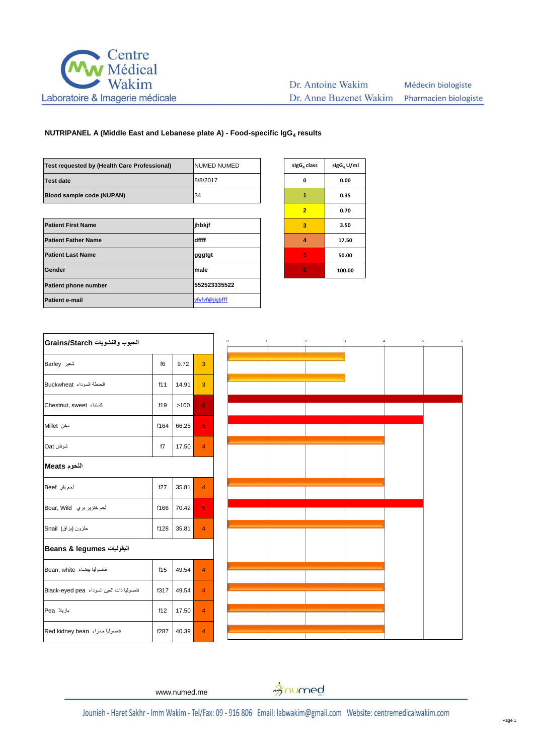

| Test requested by (Health Care Professional) | <b>NUMED NUMED</b> | sigG <sub>4</sub> class | sigG <sub>4</sub> U |
|----------------------------------------------|--------------------|-------------------------|---------------------|
| <b>Test date</b>                             | 8/8/2017           | 0                       | 0.00                |
| Blood sample code (NUPAN)                    | 34                 | 1                       | 0.35                |
|                                              |                    | $\overline{2}$          | 0.70                |
| <b>Patient First Name</b>                    | jhbkjf             | 3                       | 3.50                |
| <b>Patient Father Name</b>                   | dffff              | 4                       | 17.5                |
| <b>Patient Last Name</b>                     | gggtgt             | 5                       | 50.0                |
| Gender                                       | male               | 6                       | 100.0               |
| <b>Patient phone number</b>                  | 552523335522       |                         |                     |
| <b>Patient e-mail</b>                        | vfvfvf@jkjbfff     |                         |                     |
|                                              |                    |                         |                     |

| sigG <sub>4</sub> U/ml |
|------------------------|
| 0.00                   |
| 0.35                   |
| 0.70                   |
| 3.50                   |
| 17.50                  |
| 50.00                  |
| 100.00                 |
|                        |

| الحبوب والنشويات Grains/Starch           |      |       |                |
|------------------------------------------|------|-------|----------------|
| شعير Barley                              | f6   | 9.72  | 3              |
| الحنطة السوداء Buckwheat                 | f11  | 14.91 | 3              |
| كسنتاء Chestnut, sweet                   | f19  | >100  | 6              |
| دخن Millet                               | f164 | 66.25 | 5              |
| شوفان Oat                                | f7   | 17.50 | $\overline{4}$ |
| اللحوم Meats                             |      |       |                |
| لحم بقر Beef                             | f27  | 35.81 | $\overline{4}$ |
| لحم خنزير بري Boar, Wild                 | f166 | 70.42 | 5              |
| حلزون (بزاق) Snail                       | f128 | 35.81 | $\overline{4}$ |
| البقوليات Beans & legumes                |      |       |                |
| فاصوليا بيضاء Bean, white                | f15  | 49.54 | $\overline{4}$ |
| فاصوليا ذات العين السوداء Black-eyed pea | f317 | 49.54 | $\overline{4}$ |
| بازيلا Pea                               | f12  | 17.50 | $\overline{4}$ |
| فاصوليا حمراء Red kidney bean            | f287 | 40.39 | $\overline{4}$ |



www.numed.me

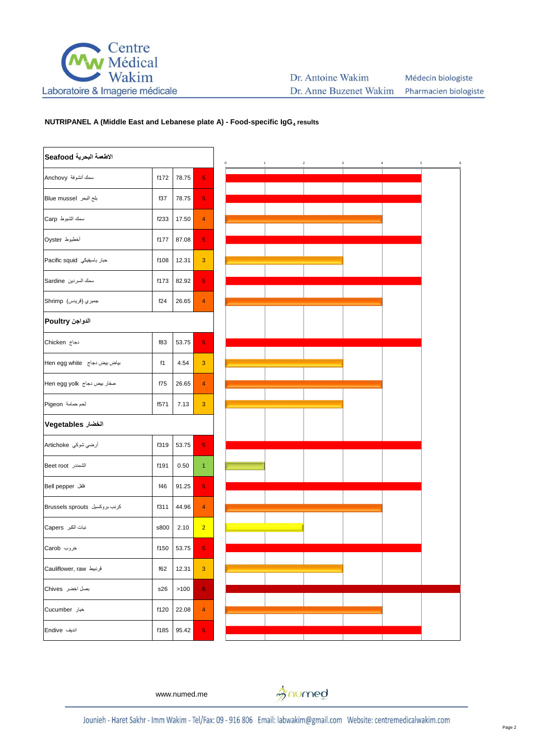

| الاطعمة البحرية Seafood       |      |            |                |
|-------------------------------|------|------------|----------------|
| سمك أنشوفة Anchovy            | f172 | 78.75      | 5              |
| بلح البحر Blue mussel         | f37  | 78.75      | 5              |
| سمك الشبوط Carp               | f233 | 17.50      | 4              |
| أخطبوط Oyster                 | f177 | 87.08      | 5              |
| حبار باسيفيكي Pacific squid   | f108 | 12.31      | 3              |
| سمك السردين Sardine           | f173 | 82.92      | 5              |
| جمبري (قريدس)  Shrimp         | f24  | 26.65      | 4              |
| الدواجن Poultry               |      |            |                |
| دجاج Chicken                  | f83  | 53.75      | 5              |
| بياض بيض دجاج Hen egg white   | f1   | 4.54       | 3              |
| صفار بیض دجاج  Hen egg yolk   | f75  | 26.65      | $\overline{4}$ |
| لحم حمامة Pigeon              | f571 | 7.13       | 3              |
| الخضار Vegetables             |      |            |                |
| أرضي شوكي  Artichoke          | f319 | 53.75      | 5              |
| الشمندر Beet root             | f191 | 0.50       | 1              |
| فلفل Bell pepper              | f46  | 91.25      | 5              |
| کرنب بروکسیل Brussels sprouts | f311 | 44.96      | 4              |
| نبات الكبر Capers             | s800 | 2.10       | $\overline{2}$ |
| خروب Carob                    |      | f150 53.75 | 5              |
| قرنبيط Cauliflower, raw       | f62  | 12.31      | 3              |
| بصل اخضر Chives               | s26  | >100       | 6              |
| خيار Cucumber                 | f120 | 22.08      | 4              |
| اندیف Endive                  | f185 | 95.42      | 5              |



www.numed.me

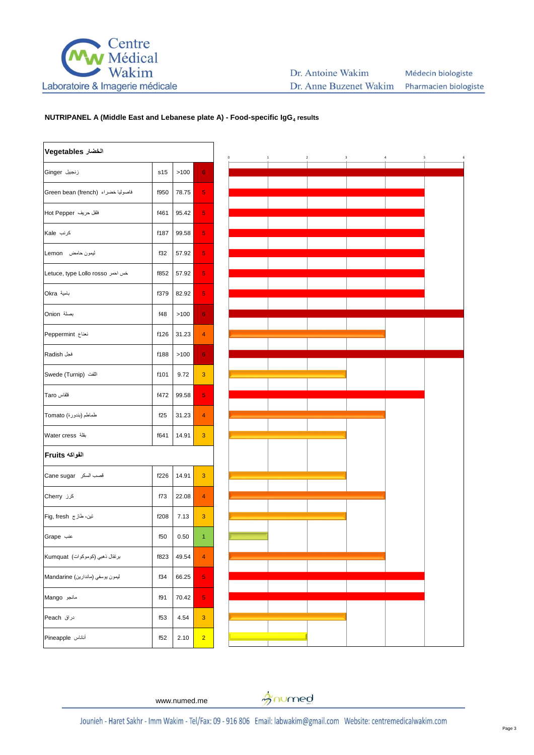

#### Dr. Antoine Wakim Médecin biologiste Dr. Anne Buzenet Wakim Pharmacien biologiste

## **NUTRIPANEL A (Middle East and Lebanese plate A) - Food-specific IgG<sup>4</sup> results**

| الخضار Vegetables                 |      |       |                |
|-----------------------------------|------|-------|----------------|
| زنجبيل Ginger                     | s15  | >100  | 6              |
| فاصوليا خضراء (Green bean (french | f950 | 78.75 | 5              |
| فلفل حريف Hot Pepper              | f461 | 95.42 | 5              |
| کرنب Kale                         | f187 | 99.58 | 5              |
| ليمون حامض Lemon                  | f32  | 57.92 | 5              |
| خس احمر Letuce, type Lollo rosso  | f852 | 57.92 | 5              |
| بامية Okra                        | f379 | 82.92 | 5              |
| بصلة Onion                        | f48  | >100  | 6              |
| نعناع Peppermint                  | f126 | 31.23 | 4              |
| فجل Radish                        | f188 | >100  | 6              |
| اللغت (Swede (Turnip              | f101 | 9.72  | 3              |
| قلقاس Taro                        | f472 | 99.58 | 5              |
| طماطم (بندورة) Tomato             | f25  | 31.23 | 4              |
| بقلة Water cress                  | f641 | 14.91 | 3              |
| الفواكه Fruits                    |      |       |                |
| قصب السكر Cane sugar              | f226 | 14.91 | 3              |
| کرز Cherry                        | f73  | 22.08 | 4              |
| تین، طاز ج Fig, fresh             | f208 | 7.13  | 3              |
| عنب Grape                         | f50  | 0.50  | 1              |
| برتقال ذهبي (كوموكوات) Kumquat    | f823 | 49.54 | 4              |
| ليمون يوسفي (ماندارين) Mandarine  | f34  | 66.25 | 5              |
| مانجو Mango                       | f91  | 70.42 | 5              |
| دراق Peach                        | f53  | 4.54  | 3              |
| أناناس Pineapple                  | f52  | 2.10  | $\overline{2}$ |



# www.numed.me

gnumed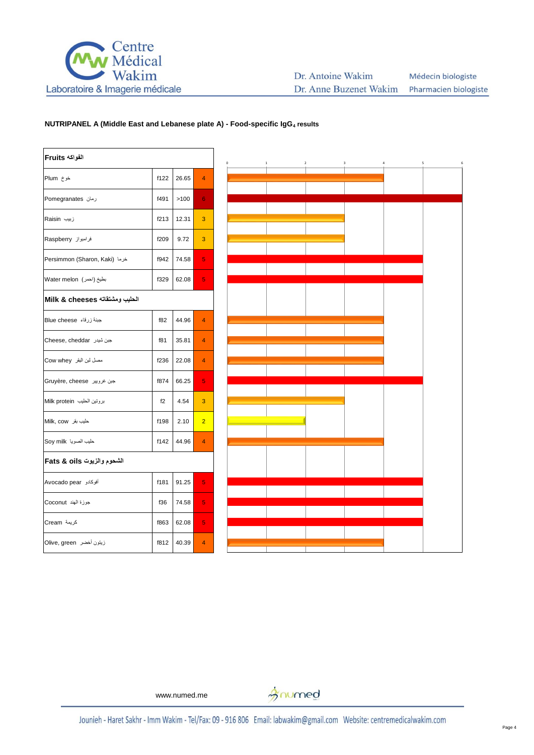

| الفواكه Fruits                 |      |       |                |
|--------------------------------|------|-------|----------------|
| خوخ Plum                       | f122 | 26.65 | 4              |
| رمان Pomegranates              | f491 | >100  | 6              |
| زبیب Raisin                    | f213 | 12.31 | 3              |
| فرامبواز Raspberry             | f209 | 9.72  | 3              |
| Persimmon (Sharon, Kaki) خرما  | f942 | 74.58 | 5              |
| بطيخ (احمر ) Water melon       | f329 | 62.08 | 5              |
| الحليب ومشتقاته Milk & cheeses |      |       |                |
| جبنة زرقاء Blue cheese         | f82  | 44.96 | $\overline{4}$ |
| Cheese, cheddar جبن شيدر       | f81  | 35.81 | $\overline{4}$ |
| مصل لبن البقر Cow whey         | f236 | 22.08 | 4              |
| جبن غرويير  Gruyère, cheese    | f874 | 66.25 | 5              |
| بروتين الحليب Milk protein     | f2   | 4.54  | 3              |
| Alilk, cow طيب بقر             | f198 | 2.10  | $\overline{2}$ |
| حليب الصويا Soy milk           | f142 | 44.96 | $\overline{4}$ |
| الشحوم والزيوت Fats & oils     |      |       |                |
| أفوكادو Avocado pear           | f181 | 91.25 | 5              |
| جوزة الهند Coconut             | f36  | 74.58 | 5              |
| كريمة Cream                    | f863 | 62.08 | 5              |
| زيتون أخضر   Olive, green      | f812 | 40.39 | $\overline{4}$ |



www.numed.me